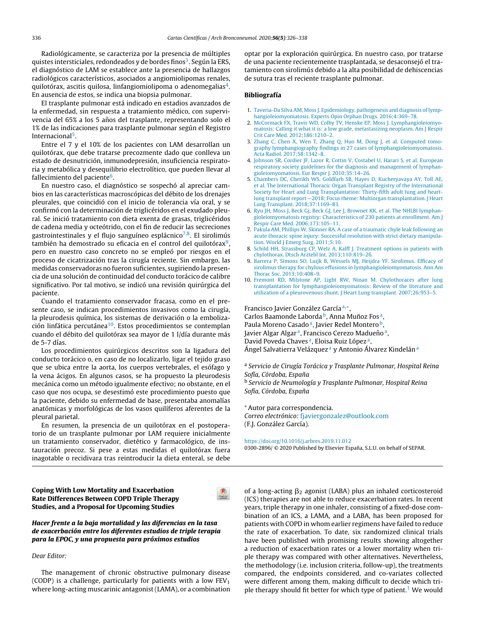Radiológicamente, se caracteriza por la presencia de múltiples quistes intersticiales, redondeados y de bordes finos<sup>3</sup>. Según la ERS, el diagnóstico de LAM se establece ante la presencia de hallazgos radiológicos característicos, asociados a angiomiolipomas renales, quilotórax, ascitis quilosa, linfangiomiolipoma o adenomegalias<sup>4</sup>. En ausencia de estos, se indica una biopsia pulmonar.

El trasplante pulmonar está indicado en estadios avanzados de la enfermedad, sin respuesta a tratamiento médico, con supervivencia del 65% a los 5 años del trasplante, representando solo el 1% de las indicaciones para trasplante pulmonar según el Registro Internacional<sup>5</sup>.

Entre el 7 y el 10% de los pacientes con LAM desarrollan un quilotórax, que debe tratarse precozmente dado que conlleva un estado de desnutrición, inmunodepresión, insuficiencia respiratoria y metabólica y desequilibrio electrolítico, que pueden llevar al fallecimiento del paciente<sup>6</sup>.

En nuestro caso, el diagnóstico se sospechó al apreciar cambios en las características macroscópicas del débito de los drenajes pleurales, que coincidió con el inicio de tolerancia vía oral, y se confirmó con la determinación de triglicéridos en el exudado pleural. Se inició tratamiento con dieta exenta de grasas, triglicéridos de cadena media y octeótrido, con el fin de reducir las secreciones gastrointestinales y el flujo sanguíneo esplácnico $^{7,8}$ . El sirolimús también ha demostrado su eficacia en el control del quilotórax<sup>9</sup>, pero en nuestro caso concreto no se empleó por riesgos en el proceso de cicatrización tras la cirugía reciente. Sin embargo, las medidas conservadoras no fueron suficientes, sugiriendo la presencia de una solución de continuidad del conducto torácico de calibre significativo. Por tal motivo, se indicó una revisión quirúrgica del paciente.

Cuando el tratamiento conservador fracasa, como en el presente caso, se indican procedimientos invasivos como la cirugía, la pleurodesis química, los sistemas de derivación o la embolización linfática percutánea<sup>10</sup>. Estos procedimientos se contemplan cuando el débito del quilotórax sea mayor de 1 l/día durante más de 5-7 días.

Los procedimientos quirúrgicos descritos son la ligadura del conducto torácico o, en caso de no localizarlo, ligar el tejido graso que se ubica entre la aorta, los cuerpos vertebrales, el esófago y la vena ácigos. En algunos casos, se ha propuesto la pleurodesis mecánica como un método igualmente efectivo; no obstante, en el caso que nos ocupa, se desestimó este procedimiento puesto que la paciente, debido su enfermedad de base, presentaba anomalías anatómicas y morfológicas de los vasos quilíferos aferentes de la pleural parietal.

En resumen, la presencia de un quilotórax en el postoperatorio de un trasplante pulmonar por LAM requiere inicialmente un tratamiento conservador, dietético y farmacológico, de instauración precoz. Si pese a estas medidas el quilotórax fuera inagotable o recidivara tras reintroducir la dieta enteral, se debe

## **Coping With Low Mortality and Exacerbation** Rate Differences Between COPD Triple Therapy **Studies, and a Proposal for Upcoming Studies**

Hacer frente a la baja mortalidad y las diferencias en la tasa de exacerbación entre los diferentes estudios de triple terapia para la EPOC, y una propuesta para próximos estudios

## Dear Editor:

The management of chronic obstructive pulmonary disease (CODP) is a challenge, particularly for patients with a low  $FEV<sub>1</sub>$ where long-acting muscarinic antagonist (LAMA), or a combination optar por la exploración quirúrgica. En nuestro caso, por tratarse de una paciente recientemente trasplantada, se desaconsejó el tratamiento con sirolimús debido a la alta posibilidad de dehiscencias de sutura tras el reciente trasplante pulmonar.

## **Bibliografía**

- 1. Taveria-Da Silva AM, Moss J. Epidemiology, pathogenesis and diagnosis of lymphangioleiomyomatosis. Experts Opin Orphan Drugs. 2016;4:369-78
- 2. McCormack FX, Travis WD, Colby TV, Henske EP, Moss J. Lymphangioleiomyomatosis: Calling it what it is: a low grade, metastasizing neoplasm. Am J Respir Crit Care Med. 2012;186:1210-2.
- 3. Zhang C, Chen X, Wen T, Zhang Q, Huo M, Dong J, et al. Computed tomography lymphangiography findings in 27 cases of lymphangioleiomyomatosis. Acta Radiol. 2017:58:1342-8.
- 4. Johnson SR, Cordier JF, Lazor R, Cottin V, Costabel U, Harari S, et al. European respiratory society guidelines for the diagnosis and management of lymphangioleiomyomatosis. Eur Respir J. 2010;35:14-26.
- 5. Chambers DC, Cherikh WS, Goldfarb SB, Hayes D, Kucheryavaya AY, Toll AE, et al. The International Thoracic Organ Transplant Registry of the International Society for Heart and Lung Transplantation: Thirty-fifth adult lung and heartlung transplant report -2018; Focus theme: Multiorgan transplantation. J Heart Lung Transplant. 2018;37:1169-83.
- 6. Ryu JH, Moss J, Beck Gj, Beck GJ, Lee J, Brownet KK, et al. The NHLBI lymphangioleiomyomatosis registry: Characteristics of 230 patients at enrollment. Am J Respir Care Med. 2006;173:105-11.
- 7. Pakula AM, Phillips W, Skinner RA. A case of a traumatic chyle leak following an acute thoracic spine injury: Successful resolution with strict dietary manipulation. World J Emerg Surg. 2011;5:10.
- 8. Schild HH, Strassburg CP, Welz A, Kalff J. Treatment options in patients with chylothorax. Dtsch Arztebl Int. 2013;110:819-26.
- 9. Barrera P, Simons SO, Luijk B, Wessels MJ, Heijdra YF. Sirolimus. Efficacy of sirolimus therapy for chylous effusions in lymphangioleiomyomatosis. Ann Am Thorac Soc. 2013;10:408-9.
- 10. Fremont RD, Milstone AP, Light RW, Ninan M. Chylothoraces after lung transplantation for lymphangioleiomyomatosis: Review of the literature and utilization of a pleurovenous shunt. J Heart Lung transplant. 2007;26:953-5.

Francisco Javier González García<sup>a,\*</sup>,

Carlos Baamonde Laborda<sup>b</sup>, Anna Muñoz Fos<sup>a</sup>, Paula Moreno Casado<sup>a</sup>, Javier Redel Montero<sup>b</sup>, Javier Algar Algar<sup>a</sup>, Francisco Cerezo Madueño<sup>a</sup>, David Poveda Chaves<sup>a</sup>, Eloisa Ruiz López<sup>a</sup>, Ángel Salvatierra Velázquez<sup>a</sup> y Antonio Álvarez Kindelán<sup>a</sup>

<sup>a</sup> Servicio de Cirugía Torácica y Trasplante Pulmonar, Hospital Reina Sofía, Córdoba, España <sup>b</sup> Servicio de Neumología y Trasplante Pulmonar, Hospital Reina Sofía, Córdoba, España

\* Autor para correspondencia.

Correo electrónico: fjaviergonzalez@outlook.com (F.J. González García).

https://doi.org/10.1016/j.arbres.2019.11.012 0300-2896/ © 2020 Published by Elsevier España, S.L.U. on behalf of SEPAR.

of a long-acting  $\beta_2$  agonist (LABA) plus an inhaled corticosteroid (ICS) therapies are not able to reduce exacerbation rates. In recent years, triple therapy in one inhaler, consisting of a fixed-dose combination of an ICS, a LAMA, and a LABA, has been proposed for patients with COPD in whom earlier regimens have failed to reduce the rate of exacerbation. To date, six randomized clinical trials have been published with promising results showing altogether a reduction of exacerbation rates or a lower mortality when triple therapy was compared with other alternatives. Nevertheless, the methodology (i.e. inclusion criteria, follow-up), the treatments compared, the endpoints considered, and co-variates collected were different among them, making difficult to decide which triple therapy should fit better for which type of patient.<sup>1</sup> We would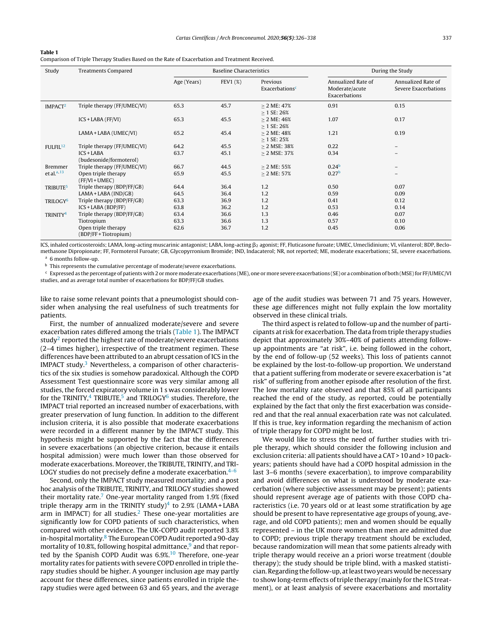### Table 1

Comparison of Triple Therapy Studies Based on the Rate of Exacerbation and Treatment Received.

| Study                | <b>Treatments Compared</b>                 | <b>Baseline Characteristics</b> |          |                                        | During the Study                                      |                                            |
|----------------------|--------------------------------------------|---------------------------------|----------|----------------------------------------|-------------------------------------------------------|--------------------------------------------|
|                      |                                            | Age (Years)                     | FEV1 (%) | Previous<br>Exacerbations <sup>c</sup> | Annualized Rate of<br>Moderate/acute<br>Exacerbations | Annualized Rate of<br>Severe Exacerbations |
| IMPACT <sup>2</sup>  | Triple therapy (FF/UMEC/VI)                | 65.3                            | 45.7     | $> 2$ ME: 47%<br>$\geq$ 1 SE: 26%      | 0.91                                                  | 0.15                                       |
|                      | $ICS + LABA (FF/VI)$                       | 65.3                            | 45.5     | $> 2$ ME: 46%<br>$>1$ SE: 26%          | 1.07                                                  | 0.17                                       |
|                      | LAMA + LABA (UMEC/VI)                      | 65.2                            | 45.4     | $> 2$ ME: 48%<br>$>1$ SE: 25%          | 1.21                                                  | 0.19                                       |
| FULFIL <sup>12</sup> | Triple therapy (FF/UMEC/VI)                | 64.2                            | 45.5     | $> 2$ MSE: 38%                         | 0.22                                                  | -                                          |
|                      | $ICS + LABA$<br>(budesonide/formoterol)    | 63.7                            | 45.1     | $> 2$ MSE: 37%                         | 0.34                                                  |                                            |
| Bremmer              | Triple therapy (FF/UMEC/VI)                | 66.7                            | 44.5     | $> 2$ ME: 55%                          | 0.24 <sup>b</sup>                                     |                                            |
| et al. $^{a,13}$     | Open triple therapy<br>$(FF/VI+UMEC)$      | 65.9                            | 45.5     | $> 2$ ME: 57%                          | 0.27 <sup>b</sup>                                     | -                                          |
| TRIBUTE <sup>5</sup> | Triple therapy (BDP/FF/GB)                 | 64.4                            | 36.4     | 1.2                                    | 0.50                                                  | 0.07                                       |
|                      | LAMA + LABA (IND/GB)                       | 64.5                            | 36.4     | 1.2                                    | 0.59                                                  | 0.09                                       |
| TRILOGY <sup>6</sup> | Triple therapy (BDP/FF/GB)                 | 63.3                            | 36.9     | 1.2                                    | 0.41                                                  | 0.12                                       |
|                      | $ICS + LABA (BDP/FF)$                      | 63.8                            | 36.2     | 1.2                                    | 0.53                                                  | 0.14                                       |
| TRINITY <sup>4</sup> | Triple therapy (BDP/FF/GB)                 | 63.4                            | 36.6     | 1.3                                    | 0.46                                                  | 0.07                                       |
|                      | Tiotropium                                 | 63.3                            | 36.6     | 1.3                                    | 0.57                                                  | 0.10                                       |
|                      | Open triple therapy<br>(BDP/FF+Tiotropium) | 62.6                            | 36.7     | 1.2                                    | 0.45                                                  | 0.06                                       |

ICS, inhaled corticosteroids; LAMA, long-acting muscarinic antagonist; LABA, long-acting <sup>2</sup> agonist; FF, Fluticasone furoate; UMEC, Umeclidinium; VI, vilanterol; BDP, Beclomethasone Dipropionate; FF, Formoterol Furoate; GB, Glycopyrronium Bromide; IND, Indacaterol; NR, not reported; ME, moderate exacerbations; SE, severe exacerbations. <sup>a</sup> 6 months follow-up.

 $<sup>b</sup>$  This represents the cumulative percentage of moderate/severe exacerbations.</sup>

Expressed as the percentage of patients with 2 or more moderate exacerbations (ME), one or more severe exacerbations (SE) or a combination of both (MSE) for FF/UMEC/VI studies, and as average total number of exacerbations for BDP/FF/GB studies.

like to raise some relevant points that a pneumologist should consider when analysing the real usefulness of such treatments for patients.

First, the number of annualized moderate/severe and severe exacerbation rates differed among the trials (Table 1). The IMPACT study $^2$  [r](#page-2-0)eported the highest rate of moderate/severe exacerbations (2–4 times higher), irrespective of the treatment regimen. These differences have been attributed to an abrupt cessation of ICS in the IMPACT study. $3$  Nevertheless, a comparison of other characteristics of the six studies is somehow paradoxical. Although the COPD Assessment Test questionnaire score was very similar among all studies, the forced expiratory volume in 1 s was considerably lower for the TRINITY, $4$  TRIBUTE, $^5$  $^5$  and TRILOGY $^6$  $^6$  studies. Therefore, the IMPACT trial reported an increased number of exacerbations, with greater preservation of lung function. In addition to the different inclusion criteria, it is also possible that moderate exacerbations were recorded in a different manner by the IMPACT study. This hypothesis might be supported by the fact that the differences in severe exacerbations (an objective criterion, because it entails hospital admission) were much lower than those observed for moderate exacerbations. Moreover, the TRIBUTE, TRINITY, and TRI-LOGY studies do not precisely define a moderate exacerbation.<sup>4-6</sup>

Second, only the IMPACT study measured mortality; and a post hoc analysis of the TRIBUTE, TRINITY, and TRILOGY studies showed their mortality rate.<sup>[7](#page-2-0)</sup> One-year mortality ranged from  $1.9\%$  (fixed triple therapy arm in the TRINITY study) $4$  to 2.9% (LAMA + LABA arm in IMPACT) for all studies.<sup>[2](#page-2-0)</sup> These one-year mortalities are significantly low for COPD patients of such characteristics, when compared with other evidence. The UK-COPD audit reported 3.8% in-hospital mortality.<sup>8</sup> [T](#page-2-0)he European COPD Audit reported a 90-day mort[a](#page-2-0)lity of 10.8%, following hospital admittance,<sup>9</sup> and that repor-ted by the Spanish COPD Audit was 6.9%.<sup>[10](#page-2-0)</sup> Therefore, one-year mortality rates for patients with severe COPD enrolled in triple therapy studies should be higher. A younger inclusion age may partly account for these differences, since patients enrolled in triple therapy studies were aged between 63 and 65 years, and the average age of the audit studies was between 71 and 75 years. However, these age differences might not fully explain the low mortality observed in these clinical trials.

The third aspect is related to follow-up and the number of participants at risk for exacerbation. The data from triple therapy studies depict that approximately 30%–40% of patients attending followup appointments are "at risk", i.e. being followed in the cohort, by the end of follow-up (52 weeks). This loss of patients cannot be explained by the lost-to-follow-up proportion. We understand that a patient suffering from moderate or severe exacerbation is "at risk" of suffering from another episode after resolution of the first. The low mortality rate observed and that 85% of all participants reached the end of the study, as reported, could be potentially explained by the fact that only the first exacerbation was considered and that the real annual exacerbation rate was not calculated. If this is true, key information regarding the mechanism of action of triple therapy for COPD might be lost.

We would like to stress the need of further studies with triple therapy, which should consider the following inclusion and exclusion criteria: all patients should have a CAT > 10 and > 10 packyears; patients should have had a COPD hospital admission in the last 3–6 months (severe exacerbation), to improve comparability and avoid differences on what is understood by moderate exacerbation (where subjective assessment may be present); patients should represent average age of patients with those COPD characteristics (i.e. 70 years old or at least some stratification by age should be present to have representative age groups of young, average, and old COPD patients); men and women should be equally represented – in the UK more women than men are admitted due to COPD; previous triple therapy treatment should be excluded, because randomization will mean that some patients already with triple therapy would receive an a priori worse treatment (double therapy); the study should be triple blind, with a masked statistician. Regarding the follow-up, at least two years would be necessary to show long-term effects of triple therapy (mainly for the ICS treatment), or at least analysis of severe exacerbations and mortality